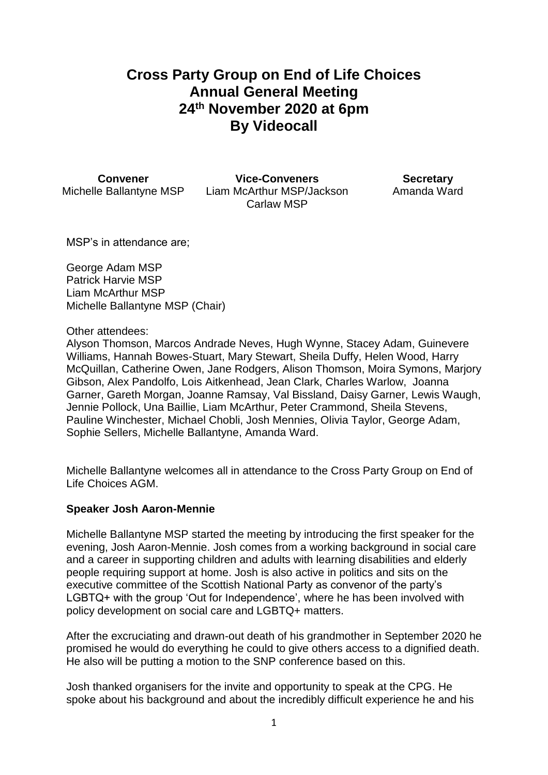# **Cross Party Group on End of Life Choices Annual General Meeting 24th November 2020 at 6pm By Videocall**

**Convener Vice-Conveners Secretary** Michelle Ballantyne MSP Liam McArthur MSP/Jackson Carlaw MSP

Amanda Ward

MSP's in attendance are;

George Adam MSP Patrick Harvie MSP Liam McArthur MSP Michelle Ballantyne MSP (Chair)

Other attendees:

Alyson Thomson, Marcos Andrade Neves, Hugh Wynne, Stacey Adam, Guinevere Williams, Hannah Bowes-Stuart, Mary Stewart, Sheila Duffy, Helen Wood, Harry McQuillan, Catherine Owen, Jane Rodgers, Alison Thomson, Moira Symons, Marjory Gibson, Alex Pandolfo, Lois Aitkenhead, Jean Clark, Charles Warlow, Joanna Garner, Gareth Morgan, Joanne Ramsay, Val Bissland, Daisy Garner, Lewis Waugh, Jennie Pollock, Una Baillie, Liam McArthur, Peter Crammond, Sheila Stevens, Pauline Winchester, Michael Chobli, Josh Mennies, Olivia Taylor, George Adam, Sophie Sellers, Michelle Ballantyne, Amanda Ward.

Michelle Ballantyne welcomes all in attendance to the Cross Party Group on End of Life Choices AGM.

## **Speaker Josh Aaron-Mennie**

Michelle Ballantyne MSP started the meeting by introducing the first speaker for the evening, Josh Aaron-Mennie. Josh comes from a working background in social care and a career in supporting children and adults with learning disabilities and elderly people requiring support at home. Josh is also active in politics and sits on the executive committee of the Scottish National Party as convenor of the party's LGBTQ+ with the group 'Out for Independence', where he has been involved with policy development on social care and LGBTQ+ matters.

After the excruciating and drawn-out death of his grandmother in September 2020 he promised he would do everything he could to give others access to a dignified death. He also will be putting a motion to the SNP conference based on this.

Josh thanked organisers for the invite and opportunity to speak at the CPG. He spoke about his background and about the incredibly difficult experience he and his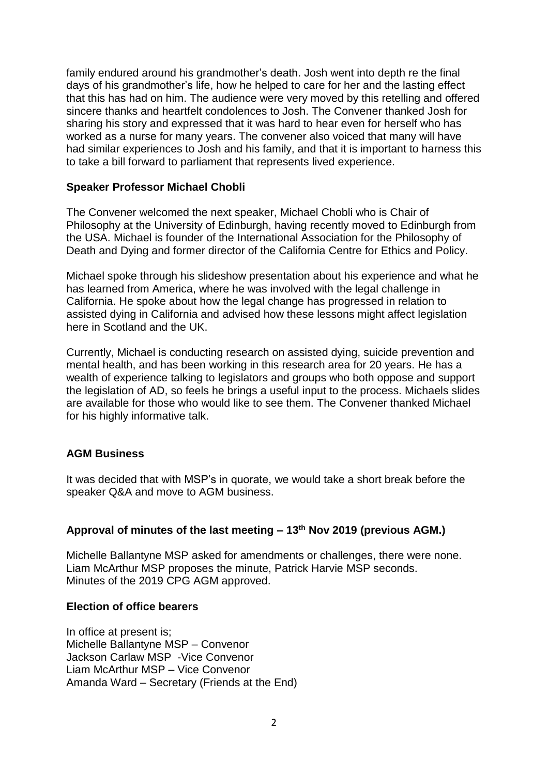family endured around his grandmother's death. Josh went into depth re the final days of his grandmother's life, how he helped to care for her and the lasting effect that this has had on him. The audience were very moved by this retelling and offered sincere thanks and heartfelt condolences to Josh. The Convener thanked Josh for sharing his story and expressed that it was hard to hear even for herself who has worked as a nurse for many years. The convener also voiced that many will have had similar experiences to Josh and his family, and that it is important to harness this to take a bill forward to parliament that represents lived experience.

## **Speaker Professor Michael Chobli**

The Convener welcomed the next speaker, Michael Chobli who is Chair of Philosophy at the University of Edinburgh, having recently moved to Edinburgh from the USA. Michael is founder of the International Association for the Philosophy of Death and Dying and former director of the California Centre for Ethics and Policy.

Michael spoke through his slideshow presentation about his experience and what he has learned from America, where he was involved with the legal challenge in California. He spoke about how the legal change has progressed in relation to assisted dying in California and advised how these lessons might affect legislation here in Scotland and the UK.

Currently, Michael is conducting research on assisted dying, suicide prevention and mental health, and has been working in this research area for 20 years. He has a wealth of experience talking to legislators and groups who both oppose and support the legislation of AD, so feels he brings a useful input to the process. Michaels slides are available for those who would like to see them. The Convener thanked Michael for his highly informative talk.

## **AGM Business**

It was decided that with MSP's in quorate, we would take a short break before the speaker Q&A and move to AGM business.

## **Approval of minutes of the last meeting – 13th Nov 2019 (previous AGM.)**

Michelle Ballantyne MSP asked for amendments or challenges, there were none. Liam McArthur MSP proposes the minute, Patrick Harvie MSP seconds. Minutes of the 2019 CPG AGM approved.

## **Election of office bearers**

In office at present is; Michelle Ballantyne MSP – Convenor Jackson Carlaw MSP -Vice Convenor Liam McArthur MSP – Vice Convenor Amanda Ward – Secretary (Friends at the End)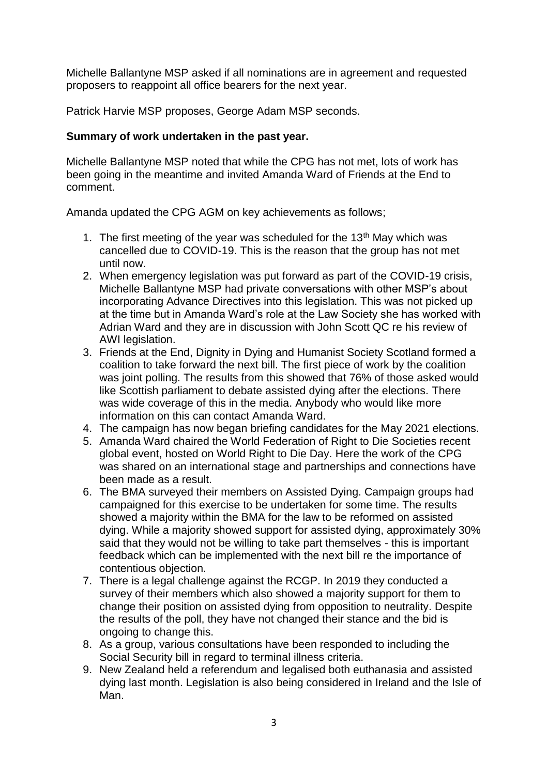Michelle Ballantyne MSP asked if all nominations are in agreement and requested proposers to reappoint all office bearers for the next year.

Patrick Harvie MSP proposes, George Adam MSP seconds.

## **Summary of work undertaken in the past year.**

Michelle Ballantyne MSP noted that while the CPG has not met, lots of work has been going in the meantime and invited Amanda Ward of Friends at the End to comment.

Amanda updated the CPG AGM on key achievements as follows;

- 1. The first meeting of the year was scheduled for the 13<sup>th</sup> May which was cancelled due to COVID-19. This is the reason that the group has not met until now.
- 2. When emergency legislation was put forward as part of the COVID-19 crisis, Michelle Ballantyne MSP had private conversations with other MSP's about incorporating Advance Directives into this legislation. This was not picked up at the time but in Amanda Ward's role at the Law Society she has worked with Adrian Ward and they are in discussion with John Scott QC re his review of AWI legislation.
- 3. Friends at the End, Dignity in Dying and Humanist Society Scotland formed a coalition to take forward the next bill. The first piece of work by the coalition was joint polling. The results from this showed that 76% of those asked would like Scottish parliament to debate assisted dying after the elections. There was wide coverage of this in the media. Anybody who would like more information on this can contact Amanda Ward.
- 4. The campaign has now began briefing candidates for the May 2021 elections.
- 5. Amanda Ward chaired the World Federation of Right to Die Societies recent global event, hosted on World Right to Die Day. Here the work of the CPG was shared on an international stage and partnerships and connections have been made as a result.
- 6. The BMA surveyed their members on Assisted Dying. Campaign groups had campaigned for this exercise to be undertaken for some time. The results showed a majority within the BMA for the law to be reformed on assisted dying. While a majority showed support for assisted dying, approximately 30% said that they would not be willing to take part themselves - this is important feedback which can be implemented with the next bill re the importance of contentious objection.
- 7. There is a legal challenge against the RCGP. In 2019 they conducted a survey of their members which also showed a majority support for them to change their position on assisted dying from opposition to neutrality. Despite the results of the poll, they have not changed their stance and the bid is ongoing to change this.
- 8. As a group, various consultations have been responded to including the Social Security bill in regard to terminal illness criteria.
- 9. New Zealand held a referendum and legalised both euthanasia and assisted dying last month. Legislation is also being considered in Ireland and the Isle of Man.